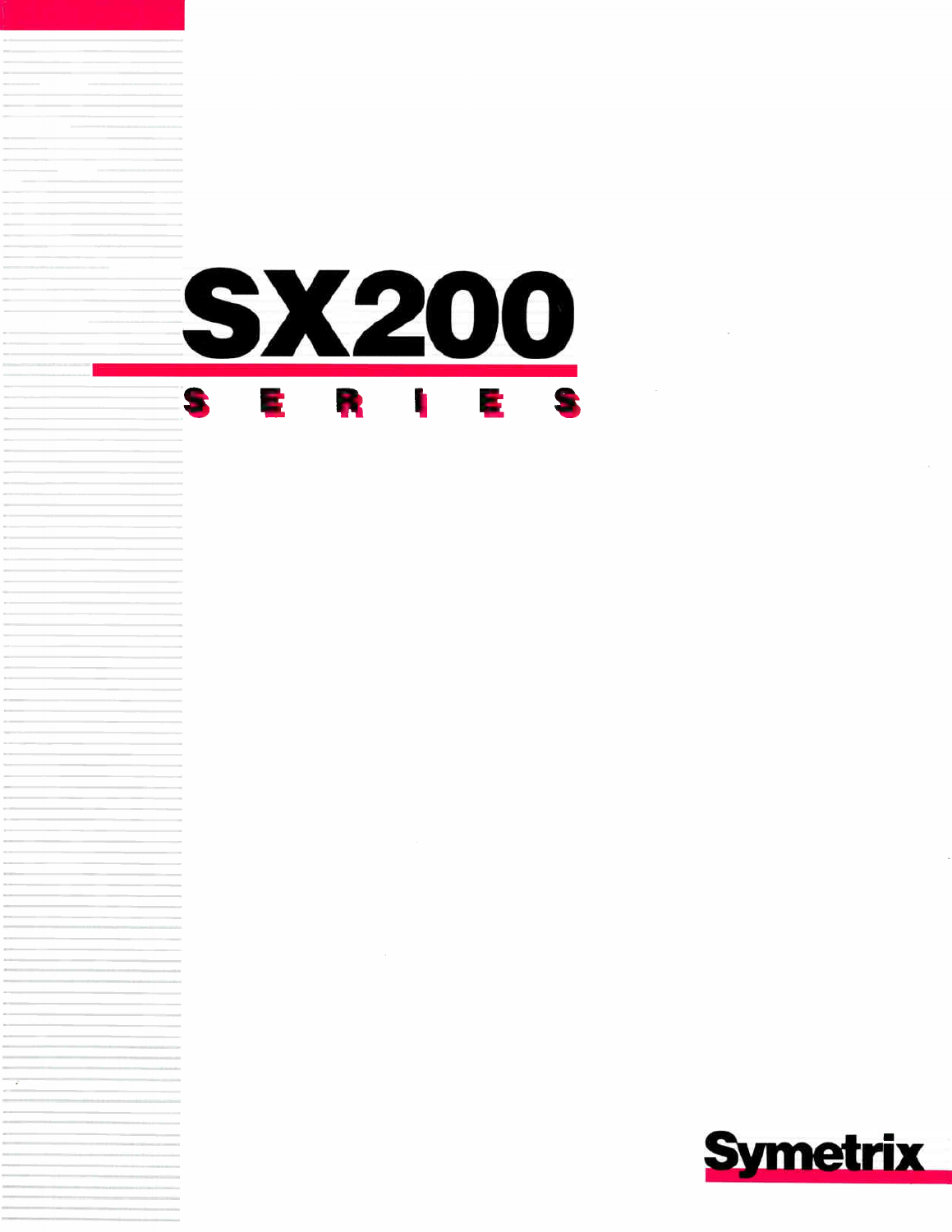

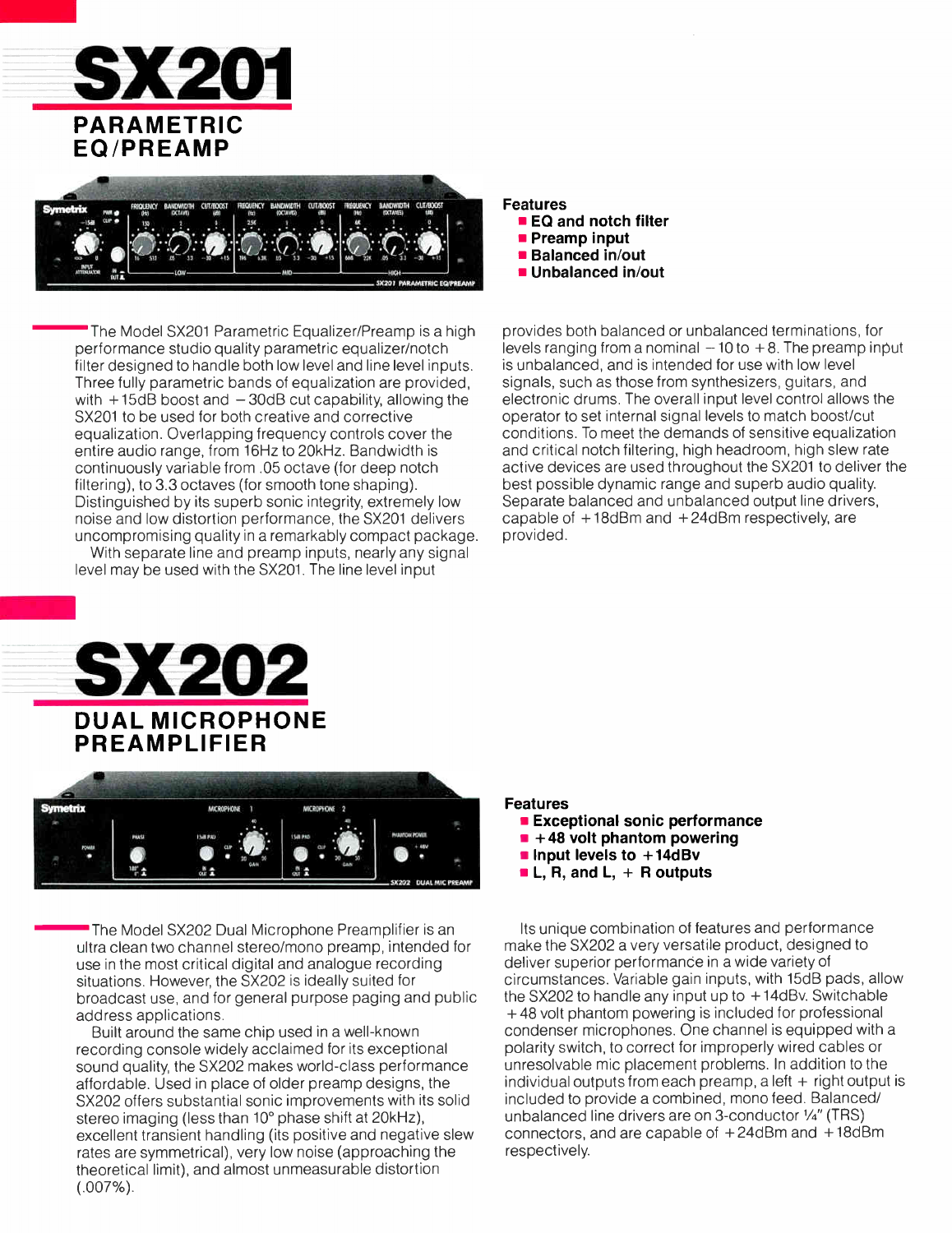



The Model SX201 Parametric Equalizer/Preamp is a high performance studio quality parametric equalizer/notch filter designed to handle both low level and line level inputs. Three fully parametric bands of equalization are provided, with  $+15dB$  boost and  $-30dB$  cut capability, allowing the SX201 to be used for both creative and corrective equalization. Overlapping frequency controls cover the entire audio range, from 16Hz to 20kHz. Bandwidth is continuously variable from .05 octave (for deep notch filtering), to 3.3 octaves (for smooth tone shaping). Distinguished by its superb sonic integrity, extremely low noise and low distortion performance, the SX201 delivers uncompromising quality in a remarkably compact package.

With separate line and preamp inputs, nearly any signal level may be used with the SX201. The line level input

provides both balanced or unbalanced terminations, for levels ranging from a nominal  $-10$  to  $+8$ . The preamp input is unbalanced, and is intended for use with low level signals, such as those from synthesizers, guitars, and electronic drums. The overall input level control allows the operator to set internal signal levels to match boost/cut conditions. To meet the demands of sensitive equalization and critical notch filtering, high headroom, high slew rate active devices are used throughout the SX201 to deliver the best possible dynamic range and superb audio quality. Separate balanced and unbalanced output line drivers, capable of  $+18$ dBm and  $+24$ dBm respectively, are provided.





The Model SX202 Dual Microphone Preamplifier is an ultra clean two channel stereo/mono preamp, intended for use in the most critical digital and analogue recording situations. However, the SX202 is ideally suited for broadcast use, and for general purpose paging and public address applications.

Built around the same chip used in a well-known recording console widely acclaimed for its exceptional sound quality, the SX202 makes world-class performance affordable. Used in place of older preamp designs, the SX202 offers substantial sonic improvements with its solid stereo imaging (less than 10° phase shift at 20kHz), excellent transient handling (its positive and negative slew rates are symmetrical), very low noise (approaching the theoretical limit), and almost unmeasurable distortion  $(.007\%)$ .

### Features

Features

**EQ and notch filter Preamp input Balanced in/out**  $\blacksquare$  Unbalanced in/out

- **Exceptional sonic performance**
- $\blacksquare$  +48 volt phantom powering
- **Input levels to**  $+14dBv$
- $\blacksquare$  L, R, and L, + R outputs

Its unique combination of features and performance make the SX202 a very versatile product, designed to deliver superior performance in a wide variety of circumstances. Variable gain inputs, with 15dB pads, allow the SX202 to handle any input up to  $+14$ dBv. Switchable + 48 volt phantom powering is included for professional condenser microphones. One channel is equipped with a polarity switch, to correct for improperly wired cables or unresolvable mic placement problems. In addition to the individual outputs from each preamp, a left  $+$  right output is included to provide a combined, mono feed. Balanced/ unbalanced line drivers are on 3-conductor  $\frac{1}{4}$ " (TRS) connectors, and are capable of + 24dBm and +18dBm respectively.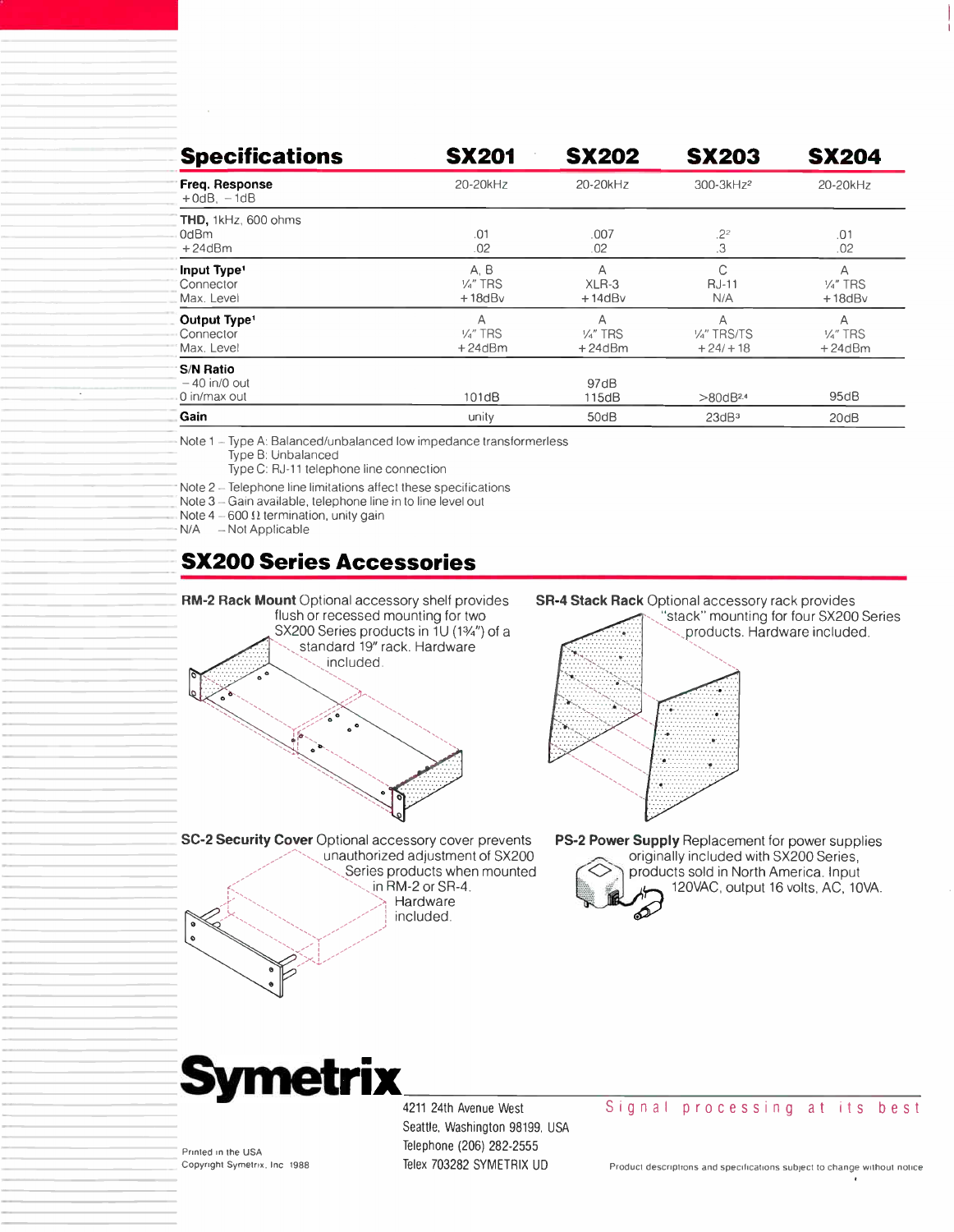| <b>Specifications</b>                               | <b>SX201</b>                             | <b>SX202</b>                         | <b>SX203</b>                              | <b>SX204</b>                           |
|-----------------------------------------------------|------------------------------------------|--------------------------------------|-------------------------------------------|----------------------------------------|
| Freq. Response<br>$+0$ d $B, -1$ d $B$              | 20-20kHz                                 | 20-20kHz                             | 300-3kHz <sup>2</sup>                     | 20-20kHz                               |
| THD, 1kHz, 600 ohms<br>0dBm<br>$+24dBm$             | .01<br>.02                               | .007<br>.02                          | .2 <sup>2</sup><br>.3                     | .01<br>.02                             |
| Input Type <sup>1</sup><br>Connector<br>Max. Level  | A. B<br>V <sub>4</sub> " TRS<br>$+18dBv$ | Α<br>$XLR-3$<br>$+14dBv$             | C<br><b>RJ-11</b><br>N/A                  | A<br>$\frac{1}{4}$ TRS<br>$+18$ d $Bv$ |
| Output Type <sup>1</sup><br>Connector<br>Max. Level | Α<br>$\frac{1}{4}$ " TRS<br>$+24dBm$     | Α<br>$\frac{1}{4}$ " TRS<br>$+24dBm$ | Α<br>V <sub>4</sub> " TRS/TS<br>$+24/+18$ | A<br>Va" TRS<br>$+24dBm$               |
| <b>S/N Ratio</b><br>$-40$ in/0 out<br>0 in/max out  | 101dB                                    | 97dB<br>115dB                        | $>80$ d $B$ <sup>2.4</sup>                | 95dB                                   |
| Gain                                                | unity                                    | 50dB                                 | 23dB <sup>3</sup>                         | 20dB                                   |

Note 1 - Type A: Balanced/unbalanced low impedance transformerless Type B: Unbalanced

Type C: RJ-11 telephone line connection

Note 2 - Telephone line limitations affect these specifications

Note 3 - Gain available, telephone line in to line level out

Note  $4 - 600 \Omega$  termination, unity gain

N/A - Not Applicable

# SX200 Series Accessories



included.

**SR-4 Stack Rack** Optional accessory rack provides

"stack" mounting for four SX200 Series products. Hardware included.



PS-2 Power Supply Replacement for power supplies originally included with SX200 Series, products sold in North America. Input





'-"--

Printed in the USA Copyright Symetrix, Inc. 1988 4211 24th Avenue West Seattle, Washington 98199. USA Telephone (206) 282-2555 Telex 703282 SYMETRIX UD

#### Signal processing at its best

Product descriptions and specifications subject to change without notice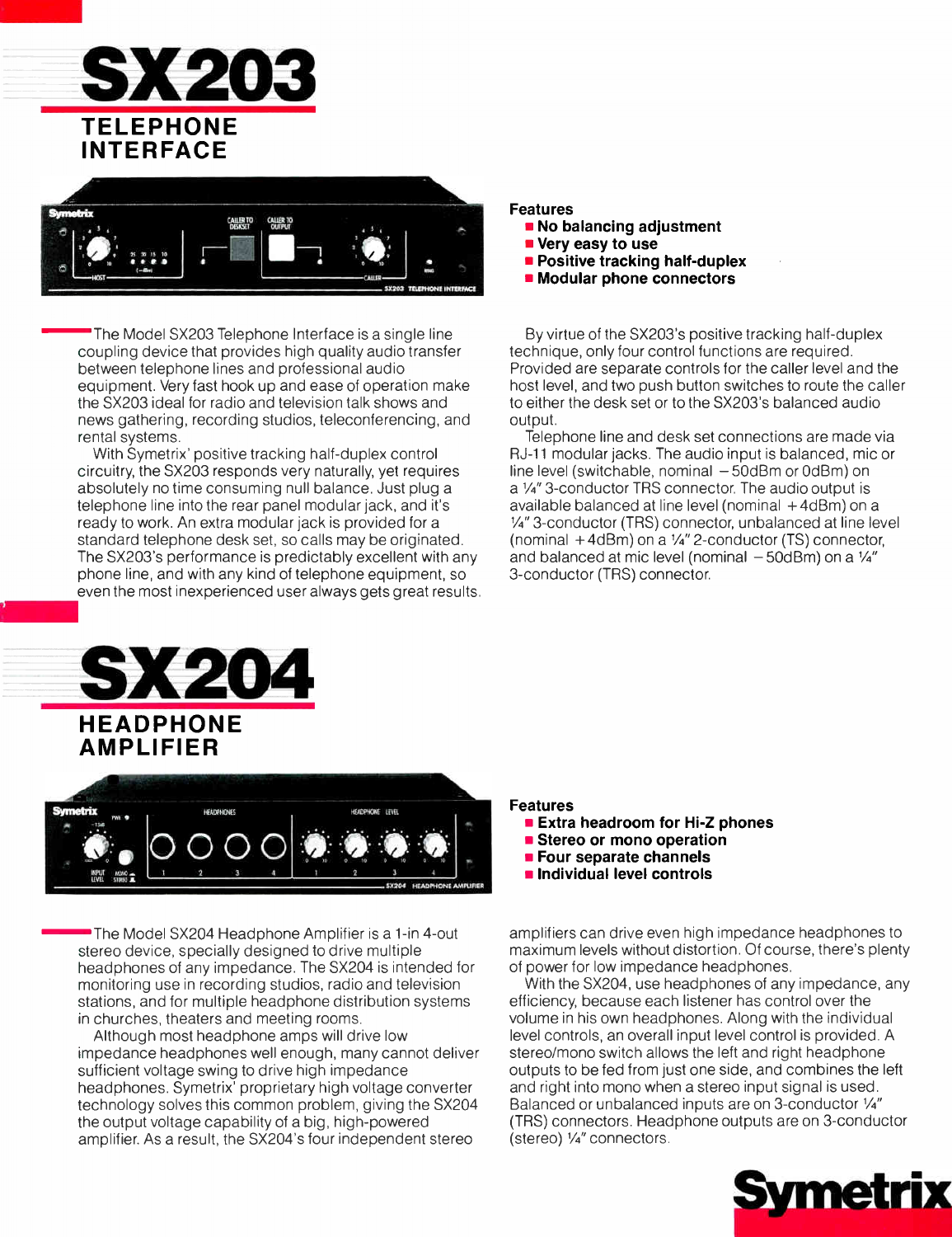



The Model SX203 Telephone Interface is a single line coupling device that provides high quality audio transfer between telephone lines and professional audio equipment. Very fast hook up and ease of operation make the SX203 ideal for radio and television talk shows and news gathering, recording studios, teleconferencing, and rental systems.

With Symetrix' positive tracking half-duplex control circuitry, the SX203 responds very naturally, yet requires absolutely no time consuming null balance. Just plug a telephone line into the rear panel modular jack, and it's ready to work. An extra modular jack is provided for a standard telephone desk set, so calls may be originated. The SX203's performance is predictably excellent with any phone line, and with any kind of telephone equipment, so even the most inexperienced user always gets great results.

# SX204 HEADPHONE

AMPLIFIER



The Model SX204 Headphone Amplifier is a 1-in 4-out stereo device, specially designed to drive multiple headphones of any impedance. The SX204 is intended for monitoring use in recording studios, radio and television stations, and for multiple headphone distribution systems in churches, theaters and meeting rooms.

Although most headphone amps will drive low impedance headphones well enough, many cannot deliver sufficient voltage swing to drive high impedance headphones. Symetrix' proprietary high voltage converter technology solves this common problem, giving the SX204 the output voltage capability of a big, high-powered amplifier. As a result, the SX204's four independent stereo

## Features

- **No balancing adjustment**
- **Very easy to use**
- **Positive tracking half-duplex**
- **Modular phone connectors**

By virtue of the SX203's positive tracking half-duplex technique, only four control functions are required. Provided are separate controls for the caller level and the host level, and two push button switches to route the caller to either the desk set or to the SX203's balanced audio output.

Telephone line and desk set connections are made via RJ-11 modular jacks. The audio input is balanced, mic or line level (switchable, nominal — 50dBm or OdBm) on a 1/4" 3-conductor TRS connector. The audio output is available balanced at line level (nominal + 4dBm) on a 1/4" 3-conductor (TRS) connector, unbalanced at line level (nominal  $+4d$ Bm) on a  $\frac{1}{4}$  2-conductor (TS) connector, and balanced at mic level (nominal  $-50$ dBm) on a  $\frac{1}{4}$ " 3-conductor (TRS) connector.

#### Features

- **Extra headroom for Hi-Z phones**
- **Stereo or mono operation**
- **Four separate channels**
- **n** Individual level controls

amplifiers can drive even high impedance headphones to maximum levels without distortion. Of course, there's plenty of power for low impedance headphones.

With the SX204, use headphones of any impedance, any efficiency, because each listener has control over the volume in his own headphones. Along with the individual level controls, an overall input level control is provided. A stereo/mono switch allows the left and right headphone outputs to be fed from just one side, and combines the left and right into mono when a stereo input signal is used. Balanced or unbalanced inputs are on 3-conductor 1/4" (TRS) connectors. Headphone outputs are on 3-conductor (stereo)  $\frac{1}{4}$  connectors.

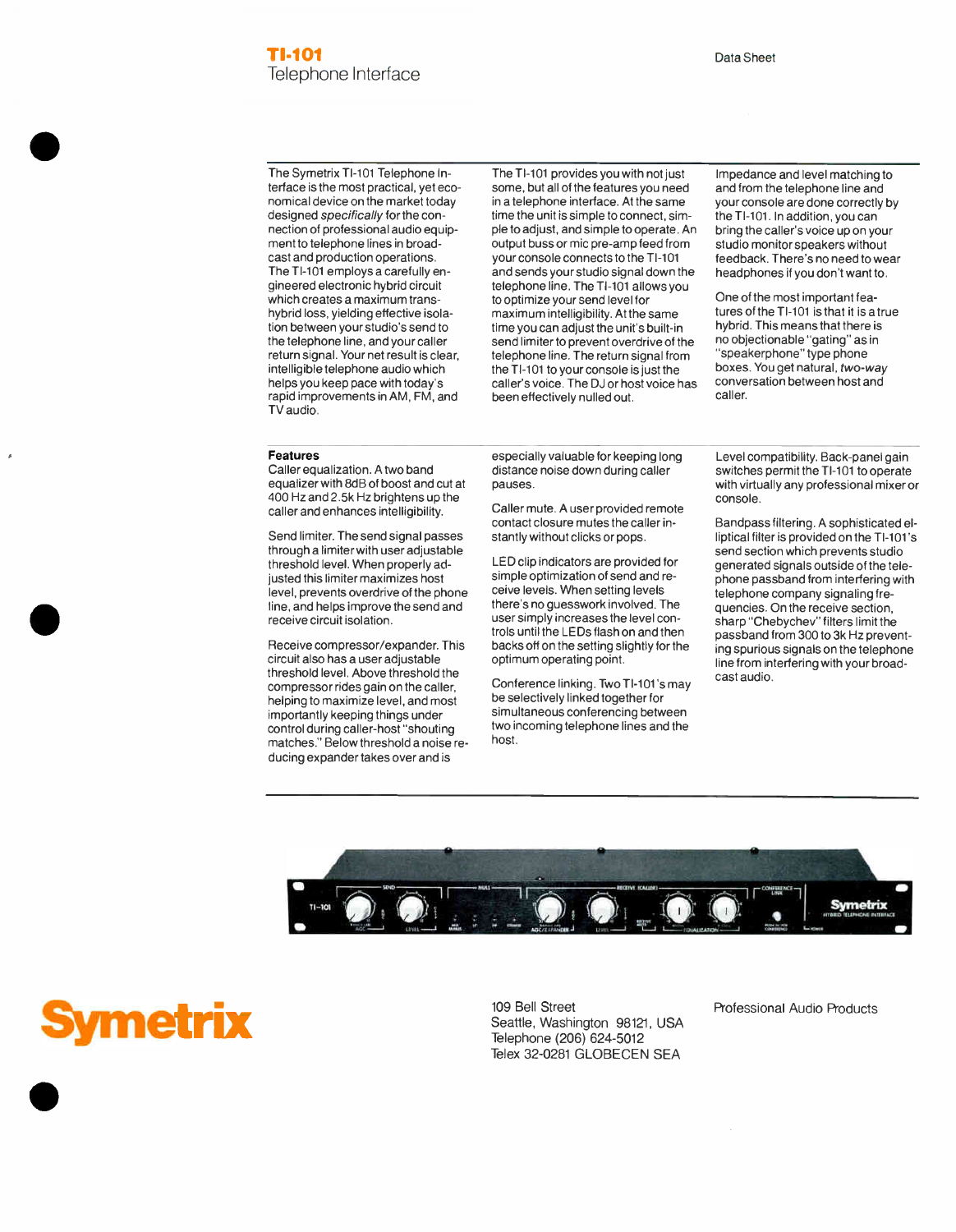The Symetrix TI-101 Telephone Interface is the most practical, yet economical device on the market today designed specifically for the connection of professional audio equipment to telephone lines in broadcast and production operations. The TI-101 employs a carefully engineered electronic hybrid circuit which creates a maximum transhybrid loss, yielding effective isolation between your studio's send to the telephone line, and your caller return signal. Your net result is clear, intelligible telephone audio which helps you keep pace with today's rapid improvements in AM, FM, and TV audio.

The T1-101 provides you with not just some, but all of the features you need in a telephone interface. At the same time the unit is simple to connect, simple to adjust, and simple to operate. An output buss or mic pre-amp feed from your console connects to the TI-101 and sends your studio signal down the telephone line. The TI-101 allows you to optimize your send level for maximum intelligibility. At the same time you can adjust the unit's built-in send limiter to prevent overdrive of the telephone line. The return signal from the TI-101 to your console is just the caller's voice. The DJ or host voice has been effectively nulled out.

Impedance and level matching to and from the telephone line and your console are done correctly by the TI-101. In addition, you can bring the caller's voice up on your studio monitor speakers without feedback. There's no need to wear headphones if you don't want to.

One of the most important features of the TI-101 is that it is a true hybrid. This means that there is no objectionable "gating" as in "speakerphone" type phone boxes. You get natural, two-way conversation between host and caller.

#### Features

Caller equalization. A two band equalizer with 8dB of boost and cut at 400 Hz and 2.5k Hz brightens up the caller and enhances intelligibility.

Send limiter. The send signal passes through a limiter with user adjustable threshold level. When properly adjusted this limiter maximizes host level, prevents overdrive of the phone line, and helps improve the send and receive circuit isolation.

Receive compressor/expander. This circuit also has a user adjustable threshold level. Above threshold the compressor rides gain on the caller, helping to maximize level, and most importantly keeping things under control during caller-host "shouting matches." Below threshold a noise reducing expander takes over and is

especially valuable for keeping long distance noise down during caller pauses.

Caller mute. A user provided remote contact closure mutes the caller instantly without clicks or pops.

LED clip indicators are provided for simple optimization of send and receive levels. When setting levels there's no guesswork involved. The user simply increases the level controls until the LEDs flash on and then backs off on the setting slightly for the optimum operating point.

Conference linking. Two T1-101's may be selectively linked together for simultaneous conferencing between two incoming telephone lines and the host.

Level compatibility. Back-panel gain switches permit the TI-101 to operate with virtually any professional mixer or console.

Bandpass filtering. A sophisticated elliptical filter is provided on the T1-101's send section which prevents studio generated signals outside of the telephone passband from interfering with telephone company signaling frequencies. On the receive section, sharp "Chebychev" filters limit the passband from 300 to 3k Hz preventing spurious signals on the telephone line from interfering with your broadcast audio.



ymetrix

•

•

•

109 Bell Street Professional Audio Products Seattle, Washington 98121, USA Telephone (206) 624-5012 Telex 32-0281 GLOBECEN SEA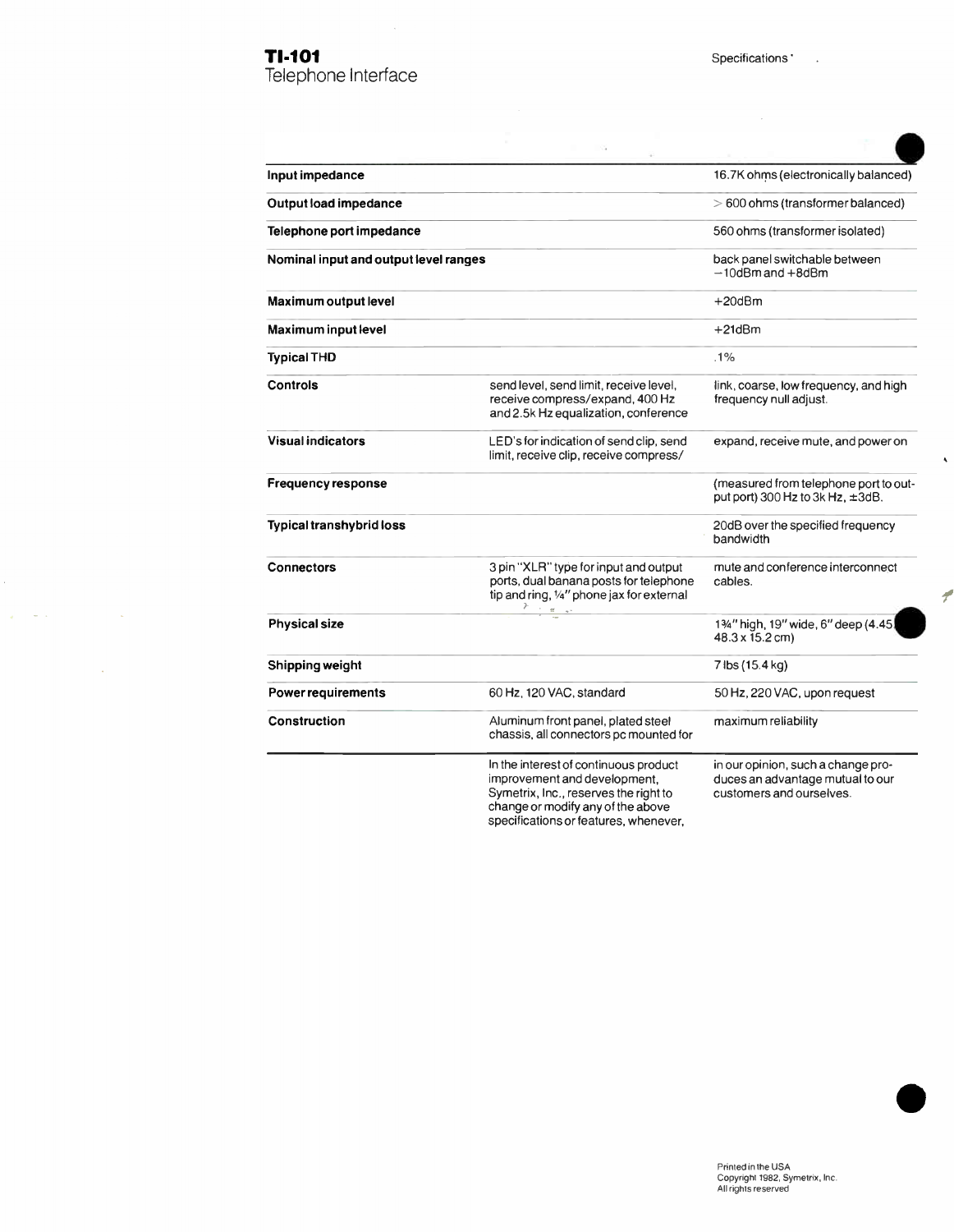Telephone Interface

 $\overline{\phantom{a}}$ 

| Input impedance                       |                                                                                                                                                     | 16.7K ohms (electronically balanced)                                                               |
|---------------------------------------|-----------------------------------------------------------------------------------------------------------------------------------------------------|----------------------------------------------------------------------------------------------------|
| Output load impedance                 |                                                                                                                                                     | $> 600$ ohms (transformer balanced)                                                                |
| Telephone port impedance              |                                                                                                                                                     | 560 ohms (transformer isolated)                                                                    |
| Nominal input and output level ranges |                                                                                                                                                     | back panel switchable between<br>$-10$ d $Bm$ and $+8$ d $Bm$                                      |
| Maximum output level                  |                                                                                                                                                     | +20dBm                                                                                             |
| <b>Maximum input level</b>            |                                                                                                                                                     | +21dBm                                                                                             |
| <b>Typical THD</b>                    |                                                                                                                                                     | .1%                                                                                                |
| Controls                              | send level, send limit, receive level,<br>receive compress/expand, 400 Hz<br>and 2.5k Hz equalization, conference                                   | link, coarse, low frequency, and high<br>frequency null adjust.                                    |
| <b>Visual indicators</b>              | LED's for indication of send clip, send<br>limit, receive clip, receive compress/                                                                   | expand, receive mute, and power on                                                                 |
| Frequency response                    |                                                                                                                                                     | (measured from telephone port to out-<br>put port) 300 Hz to 3k Hz, $\pm 3$ dB.                    |
| <b>Typical transhybrid loss</b>       |                                                                                                                                                     | 20dB over the specified frequency<br>bandwidth                                                     |
| <b>Connectors</b>                     | 3 pin "XLR" type for input and output<br>ports, dual banana posts for telephone<br>tip and ring, 1/4" phone jax for external<br>$\alpha$            | mute and conference interconnect<br>cables.                                                        |
| <b>Physical size</b>                  |                                                                                                                                                     | 13/4" high, 19" wide, 6" deep (4.45<br>48.3 x 15.2 cm)                                             |
| Shipping weight                       |                                                                                                                                                     | 7 lbs (15.4 kg)                                                                                    |
| <b>Power requirements</b>             | 60 Hz, 120 VAC, standard                                                                                                                            | 50 Hz, 220 VAC, upon request                                                                       |
| <b>Construction</b>                   | Aluminum front panel, plated steel<br>chassis, all connectors pc mounted for                                                                        | maximum reliability                                                                                |
|                                       | In the interest of continuous product<br>improvement and development.<br>Symetrix, Inc., reserves the right to<br>change or modify any of the above | in our opinion, such a change pro-<br>duces an advantage mutual to our<br>customers and ourselves. |

specifications or features, whenever,

e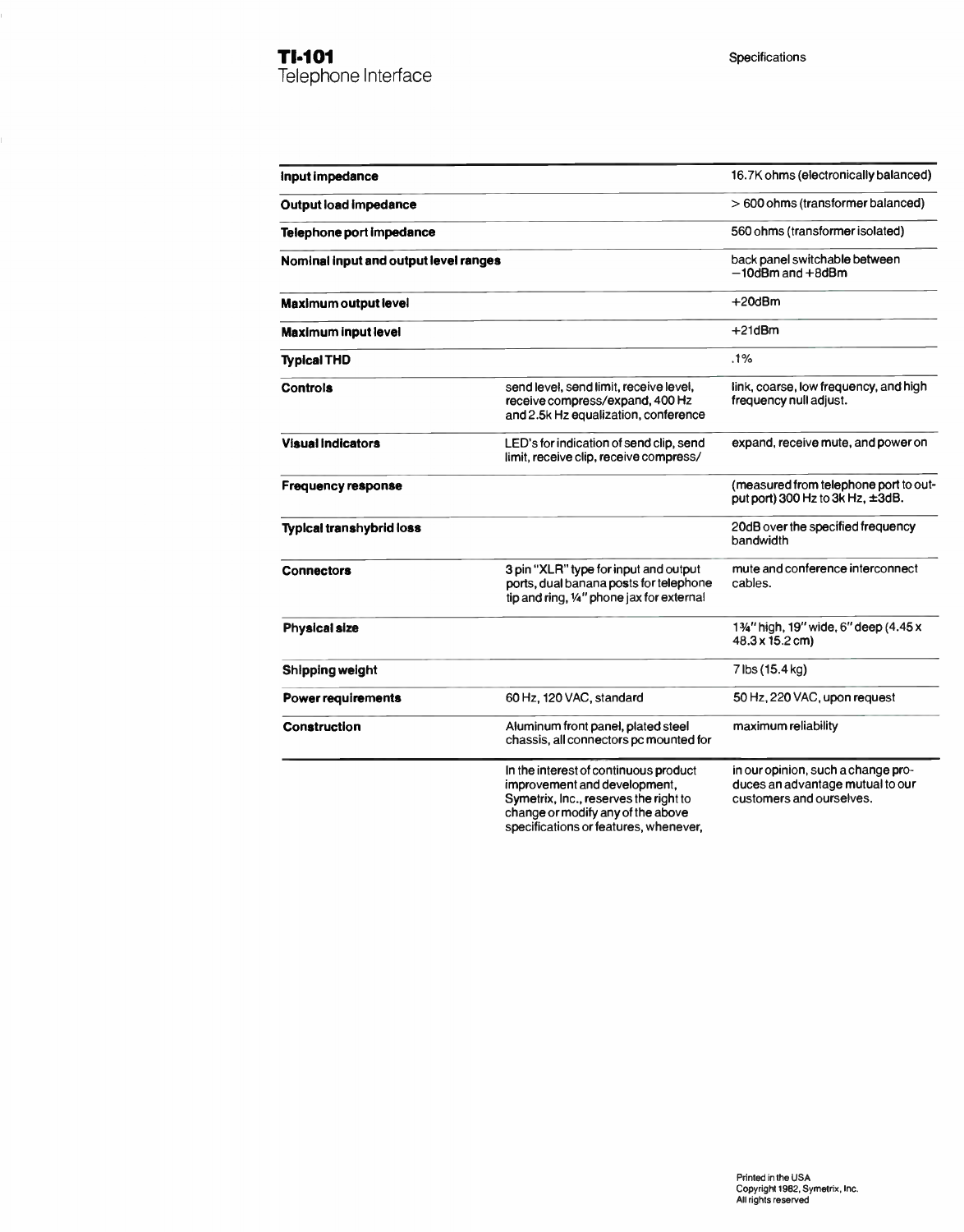| Input impedance                       |                                                                                                                                                     | 16.7K ohms (electronically balanced)                                                               |
|---------------------------------------|-----------------------------------------------------------------------------------------------------------------------------------------------------|----------------------------------------------------------------------------------------------------|
| <b>Output load impedance</b>          |                                                                                                                                                     | $>600$ ohms (transformer balanced)                                                                 |
| Telephone port impedance              |                                                                                                                                                     | 560 ohms (transformer isolated)                                                                    |
| Nominal input and output level ranges |                                                                                                                                                     | back panel switchable between<br>$-10$ dBm and $+8$ dBm                                            |
| <b>Maximum output level</b>           |                                                                                                                                                     | $+20dBm$                                                                                           |
| <b>Maximum input level</b>            |                                                                                                                                                     | $+21dBm$                                                                                           |
| <b>Typical THD</b>                    |                                                                                                                                                     | .1%                                                                                                |
| <b>Controls</b>                       | send level, send limit, receive level,<br>receive compress/expand, 400 Hz<br>and 2.5k Hz equalization, conference                                   | link, coarse, low frequency, and high<br>frequency null adjust.                                    |
| <b>Visual Indicators</b>              | LED's for indication of send clip, send<br>limit, receive clip, receive compress/                                                                   | expand, receive mute, and power on                                                                 |
| <b>Frequency response</b>             |                                                                                                                                                     | (measured from telephone port to out-<br>put port) 300 Hz to 3k Hz, ±3dB.                          |
| <b>Typical transhybrid loss</b>       |                                                                                                                                                     | 20dB over the specified frequency<br>bandwidth                                                     |
| <b>Connectors</b>                     | 3 pin "XLR" type for input and output<br>ports, dual banana posts for telephone<br>tip and ring, 1/4" phone jax for external                        | mute and conference interconnect<br>cables.                                                        |
| <b>Physical size</b>                  |                                                                                                                                                     | 13/4" high, 19" wide, 6" deep (4.45 x<br>48.3 x 15.2 cm)                                           |
| Shipping weight                       |                                                                                                                                                     | 7 lbs (15.4 kg)                                                                                    |
| <b>Power requirements</b>             | 60 Hz, 120 VAC, standard                                                                                                                            | 50 Hz, 220 VAC, upon request                                                                       |
| <b>Construction</b>                   | Aluminum front panel, plated steel<br>chassis, all connectors pc mounted for                                                                        | maximum reliability                                                                                |
|                                       | In the interest of continuous product<br>improvement and development,<br>Symetrix, Inc., reserves the right to<br>change or modify any of the above | in our opinion, such a change pro-<br>duces an advantage mutual to our<br>customers and ourselves. |

specifications or features, whenever,